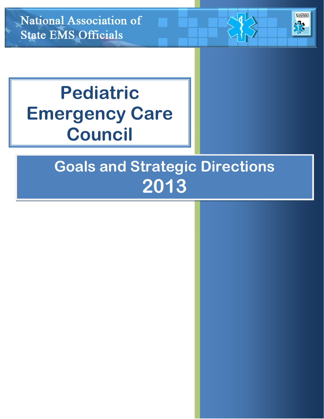National Association of **State EMS Officials** 

# **Pediatric Emergency Care Council**

## **Goals and Strategic Directions 2013**

**NASEMSO**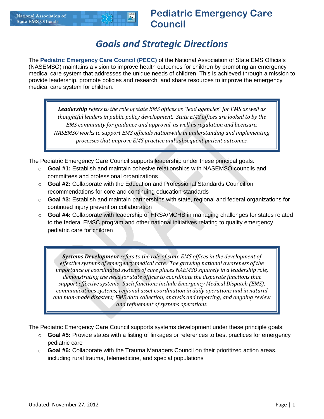#### **National Association of**  $\frac{1}{2}$ **State EMS Officials**

#### **Pediatric Emergency Care Council**

#### *Goals and Strategic Directions*

The **Pediatric Emergency Care Council (PECC)** of the National Association of State EMS Officials (NASEMSO) maintains a vision to improve health outcomes for children by promoting an emergency medical care system that addresses the unique needs of children. This is achieved through a mission to provide leadership, promote policies and research, and share resources to improve the emergency medical care system for children.

*Leadership refers to the role of state EMS offices as "lead agencies" for EMS as well as thoughtful leaders in public policy development. State EMS offices are looked to by the EMS community for guidance and approval, as well as regulation and licensure. NASEMSO works to support EMS officials nationwide in understanding and implementing processes that improve EMS practice and subsequent patient outcomes.*

The Pediatric Emergency Care Council supports leadership under these principal goals:

- o **Goal #1:** Establish and maintain cohesive relationships with NASEMSO councils and committees and professional organizations
- o **Goal #2:** Collaborate with the Education and Professional Standards Council on recommendations for core and continuing education standards
- o **Goal #3:** Establish and maintain partnerships with state, regional and federal organizations for continued injury prevention collaboration
- o **Goal #4:** Collaborate with leadership of HRSA/MCHB in managing challenges for states related to the federal EMSC program and other national initiatives relating to quality emergency pediatric care for children

*Systems Development refers to the role of state EMS offices in the development of effective systems of emergency medical care. The growing national awareness of the importance of coordinated systems of care places NAEMSO squarely in a leadership role, demonstrating the need for state offices to coordinate the disparate functions that support effective systems. Such functions include Emergency Medical Dispatch (EMS), communications systems; regional asset coordination in daily operations and in natural and man-made disasters; EMS data collection, analysis and reporting; and ongoing review and refinement of systems operations.*

The Pediatric Emergency Care Council supports systems development under these principle goals:

- o **Goal #5:** Provide states with a listing of linkages or references to best practices for emergency pediatric care
- o **Goal #6:** Collaborate with the Trauma Managers Council on their prioritized action areas, including rural trauma, telemedicine, and special populations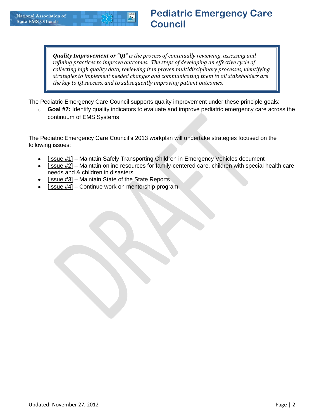

*Quality Improvement or "QI" is the process of continually reviewing, assessing and refining practices to improve outcomes. The steps of developing an effective cycle of collecting high quality data, reviewing it in proven multidisciplinary processes, identifying strategies to implement needed changes and communicating them to all stakeholders are the key to QI success, and to subsequently improving patient outcomes.* 

The Pediatric Emergency Care Council supports quality improvement under these principle goals:

o **Goal #7:** Identify quality indicators to evaluate and improve pediatric emergency care across the continuum of EMS Systems

The Pediatric Emergency Care Council's 2013 workplan will undertake strategies focused on the following issues:

- [Issue #1] Maintain Safely Transporting Children in Emergency Vehicles document
- [Issue #2] Maintain online resources for family-centered care, children with special health care  $\bullet$ needs and & children in disasters
- [Issue #3] Maintain State of the State Reports
- [Issue #4] Continue work on mentorship program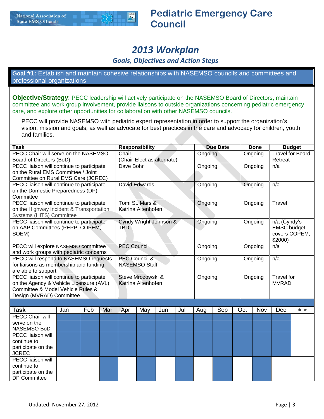### *2013 Workplan*

*Goals, Objectives and Action Steps*

**Goal #1:** Establish and maintain cohesive relationships with NASEMSO councils and committees and professional organizations

**Objective/Strategy**: PECC leadership will actively participate on the NASEMSO Board of Directors, maintain committee and work group involvement, provide liaisons to outside organizations concerning pediatric emergency care, and explore other opportunities for collaboration with other NASEMSO councils.

PECC will provide NASEMSO with pediatric expert representation in order to support the organization's vision, mission and goals, as well as advocate for best practices in the care and advocacy for children, youth and families.

| <b>Task</b>                                                      |     |     | <b>Responsibility</b><br>Chair |                    |                          |                            |     |         | <b>Due Date</b> |     | <b>Done</b> |                          | <b>Budget</b>           |
|------------------------------------------------------------------|-----|-----|--------------------------------|--------------------|--------------------------|----------------------------|-----|---------|-----------------|-----|-------------|--------------------------|-------------------------|
| PECC Chair will serve on the NASEMSO<br>Board of Directors (BoD) |     |     |                                |                    |                          | (Chair-Elect as alternate) |     | Ongoing |                 |     | Ongoing     | Retreat                  | <b>Travel for Board</b> |
| PECC liaison will continue to participate                        |     |     |                                | Dave Bohr          |                          |                            |     | Ongoing |                 |     | Ongoing     | n/a                      |                         |
| on the Rural EMS Committee / Joint                               |     |     |                                |                    |                          |                            |     |         |                 |     |             |                          |                         |
| Committee on Rural EMS Care (JCREC)                              |     |     |                                |                    |                          |                            |     |         |                 |     |             |                          |                         |
| PECC liaison will continue to participate                        |     |     |                                |                    | David Edwards            |                            |     | Ongoing |                 |     | Ongoing     | n/a                      |                         |
| on the Domestic Preparedness (DP)                                |     |     |                                |                    |                          |                            |     |         |                 |     |             |                          |                         |
| Committee                                                        |     |     |                                |                    |                          |                            |     |         |                 |     |             |                          |                         |
| PECC liaison will continue to participate                        |     |     |                                |                    | Tomi St. Mars &          |                            |     | Ongoing |                 |     | Ongoing     | Travel                   |                         |
| on the Highway Incident & Transportation                         |     |     |                                |                    | Katrina Altenhofen       |                            |     |         |                 |     |             |                          |                         |
| Systems (HITS) Committee                                         |     |     |                                |                    |                          |                            |     |         |                 |     |             |                          |                         |
| PECC liaison will continue to participate                        |     |     |                                |                    |                          | Cyndy Wright Johnson &     |     | Ongoing |                 |     | Ongoing     | n/a (Cyndy's             |                         |
| on AAP Committees (PEPP, COPEM,                                  |     |     |                                | <b>TBD</b>         |                          |                            |     |         |                 |     |             | <b>EMSC</b> budget       |                         |
| SOEM)                                                            |     |     |                                |                    |                          |                            |     |         |                 |     |             | covers COPEM;<br>\$2000) |                         |
| PECC will explore NASEMSO committee                              |     |     |                                | <b>PEC Council</b> |                          |                            |     | Ongoing |                 |     | Ongoing     | n/a                      |                         |
| and work groups with pediatric concerns                          |     |     |                                |                    |                          |                            |     |         |                 |     |             |                          |                         |
| PECC will respond to NASEMSO requests                            |     |     |                                |                    | <b>PEC Council &amp;</b> |                            |     | Ongoing |                 |     | Ongoing     | n/a                      |                         |
| for liaisons as membership and funding                           |     |     |                                |                    | <b>NASEMSO Staff</b>     |                            |     |         |                 |     |             |                          |                         |
| are able to support                                              |     |     |                                |                    |                          |                            |     |         |                 |     |             |                          |                         |
| PECC liaison will continue to participate                        |     |     |                                |                    | Steve Mrozowski &        |                            |     | Ongoing |                 |     | Ongoing     | <b>Travel for</b>        |                         |
| on the Agency & Vehicle Licensure (AVL)                          |     |     |                                |                    | Katrina Altenhofen       |                            |     |         |                 |     |             | <b>MVRAD</b>             |                         |
| Committee & Model Vehicle Rules &                                |     |     |                                |                    |                          |                            |     |         |                 |     |             |                          |                         |
| Design (MVRAD) Committee                                         |     |     |                                |                    |                          |                            |     |         |                 |     |             |                          |                         |
|                                                                  |     |     |                                |                    |                          |                            |     |         |                 |     |             |                          |                         |
| <b>Task</b>                                                      | Jan | Feb | Mar                            | Apr                | May                      | Jun                        | Jul | Aug     | Sep             | Oct | Nov         | Dec                      | done                    |
| <b>PECC Chair will</b>                                           |     |     |                                |                    |                          |                            |     |         |                 |     |             |                          |                         |
| serve on the<br>NASEMSO BoD                                      |     |     |                                |                    |                          |                            |     |         |                 |     |             |                          |                         |
| PECC liaison will                                                |     |     |                                |                    |                          |                            |     |         |                 |     |             |                          |                         |
| continue to                                                      |     |     |                                |                    |                          |                            |     |         |                 |     |             |                          |                         |
| participate on the                                               |     |     |                                |                    |                          |                            |     |         |                 |     |             |                          |                         |
| <b>JCREC</b>                                                     |     |     |                                |                    |                          |                            |     |         |                 |     |             |                          |                         |
| PECC liaison will                                                |     |     |                                |                    |                          |                            |     |         |                 |     |             |                          |                         |
| continue to                                                      |     |     |                                |                    |                          |                            |     |         |                 |     |             |                          |                         |
| participate on the                                               |     |     |                                |                    |                          |                            |     |         |                 |     |             |                          |                         |
| <b>DP Committee</b>                                              |     |     |                                |                    |                          |                            |     |         |                 |     |             |                          |                         |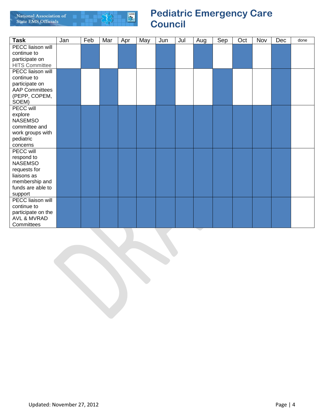

| <b>Task</b>              | Jan | Feb | Mar | Apr | May | Jun | Jul | Aug | Sep | Oct | Nov | Dec | done |
|--------------------------|-----|-----|-----|-----|-----|-----|-----|-----|-----|-----|-----|-----|------|
| PECC liaison will        |     |     |     |     |     |     |     |     |     |     |     |     |      |
| continue to              |     |     |     |     |     |     |     |     |     |     |     |     |      |
| participate on           |     |     |     |     |     |     |     |     |     |     |     |     |      |
| <b>HITS Committee</b>    |     |     |     |     |     |     |     |     |     |     |     |     |      |
| PECC liaison will        |     |     |     |     |     |     |     |     |     |     |     |     |      |
| continue to              |     |     |     |     |     |     |     |     |     |     |     |     |      |
| participate on           |     |     |     |     |     |     |     |     |     |     |     |     |      |
| <b>AAP Committees</b>    |     |     |     |     |     |     |     |     |     |     |     |     |      |
| (PEPP, COPEM,            |     |     |     |     |     |     |     |     |     |     |     |     |      |
| SOEM)                    |     |     |     |     |     |     |     |     |     |     |     |     |      |
| PECC will                |     |     |     |     |     |     |     |     |     |     |     |     |      |
| explore                  |     |     |     |     |     |     |     |     |     |     |     |     |      |
| <b>NASEMSO</b>           |     |     |     |     |     |     |     |     |     |     |     |     |      |
| committee and            |     |     |     |     |     |     |     |     |     |     |     |     |      |
| work groups with         |     |     |     |     |     |     |     |     |     |     |     |     |      |
| pediatric                |     |     |     |     |     |     |     |     |     |     |     |     |      |
| concerns                 |     |     |     |     |     |     |     |     |     |     |     |     |      |
| PECC will                |     |     |     |     |     |     |     |     |     |     |     |     |      |
| respond to               |     |     |     |     |     |     |     |     |     |     |     |     |      |
| <b>NASEMSO</b>           |     |     |     |     |     |     |     |     |     |     |     |     |      |
| requests for             |     |     |     |     |     |     |     |     |     |     |     |     |      |
| liaisons as              |     |     |     |     |     |     |     |     |     |     |     |     |      |
| membership and           |     |     |     |     |     |     |     |     |     |     |     |     |      |
| funds are able to        |     |     |     |     |     |     |     |     |     |     |     |     |      |
| support                  |     |     |     |     |     |     |     |     |     |     |     |     |      |
| <b>PECC liaison will</b> |     |     |     |     |     |     |     |     |     |     |     |     |      |
| continue to              |     |     |     |     |     |     |     |     |     |     |     |     |      |
| participate on the       |     |     |     |     |     |     |     |     |     |     |     |     |      |
| <b>AVL &amp; MVRAD</b>   |     |     |     |     |     |     |     |     |     |     |     |     |      |
| Committees               |     |     |     |     |     |     |     |     |     |     |     |     |      |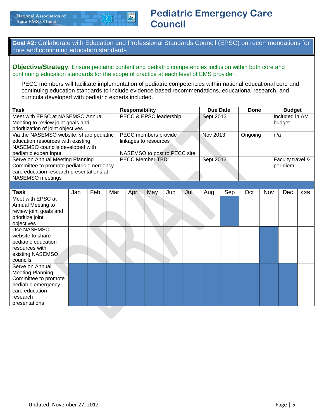

**Goal #2:** Collaborate with Education and Professional Standards Council (EPSC) on recommendations for core and continuing education standards

**Objective/Strategy**: Ensure pediatric content and pediatric competencies inclusion within both core and continuing education standards for the scope of practice at each level of EMS provider.

PECC members will facilitate implementation of pediatric competencies within national educational core and continuing education standards to include evidence based recommendations, educational research, and curricula developed with pediatric experts included.

| <b>Task</b>                              |     | <b>Responsibility</b> |     |                        |     |                        |                              |     | <b>Due Date</b> |           | <b>Done</b> |     |     | <b>Budget</b>    |      |
|------------------------------------------|-----|-----------------------|-----|------------------------|-----|------------------------|------------------------------|-----|-----------------|-----------|-------------|-----|-----|------------------|------|
| Meet with EPSC at NASEMSO Annual         |     |                       |     | PECC & EPSC leadership |     |                        |                              |     |                 | Sept 2013 |             |     |     | Included in AM   |      |
| Meeting to review joint goals and        |     |                       |     |                        |     |                        |                              |     |                 |           |             |     |     | budget           |      |
| prioritization of joint objectives       |     |                       |     |                        |     |                        |                              |     |                 |           |             |     |     |                  |      |
| Via the NASEMSO website, share pediatric |     |                       |     |                        |     | PECC members provide   |                              |     | Nov 2013        |           | Ongoing     |     | n/a |                  |      |
| education resources with existing        |     |                       |     |                        |     | linkages to resources  |                              |     |                 |           |             |     |     |                  |      |
| NASEMSO councils developed with          |     |                       |     |                        |     |                        |                              |     |                 |           |             |     |     |                  |      |
| pediatric expert input                   |     |                       |     |                        |     |                        | NASEMSO to post to PECC site |     |                 |           |             |     |     |                  |      |
| Serve on Annual Meeting Planning         |     |                       |     |                        |     | <b>PECC Member TBD</b> |                              |     | Sept 2013       |           |             |     |     | Faculty travel & |      |
| Committee to promote pediatric emergency |     |                       |     |                        |     |                        |                              |     |                 |           |             |     |     | per diem         |      |
| care education research presentations at |     |                       |     |                        |     |                        |                              |     |                 |           |             |     |     |                  |      |
| NASEMSO meetings                         |     |                       |     |                        |     |                        |                              |     |                 |           |             |     |     |                  |      |
|                                          |     |                       |     |                        |     |                        |                              |     |                 |           |             |     |     |                  |      |
| <b>Task</b>                              | Jan | Feb                   | Mar |                        | Apr | May                    | Jun                          | Jul | Aug             | Sep       | Oct         | Nov |     | Dec              | done |
| Meet with EPSC at                        |     |                       |     |                        |     |                        |                              |     |                 |           |             |     |     |                  |      |
| Annual Meeting to                        |     |                       |     |                        |     |                        |                              |     |                 |           |             |     |     |                  |      |
| review joint goals and                   |     |                       |     |                        |     |                        |                              |     |                 |           |             |     |     |                  |      |
| prioritize joint                         |     |                       |     |                        |     |                        |                              |     |                 |           |             |     |     |                  |      |
| objectives                               |     |                       |     |                        |     |                        |                              |     |                 |           |             |     |     |                  |      |
| Use NASEMSO                              |     |                       |     |                        |     |                        |                              |     |                 |           |             |     |     |                  |      |
| website to share                         |     |                       |     |                        |     |                        |                              |     |                 |           |             |     |     |                  |      |
| pediatric education                      |     |                       |     |                        |     |                        |                              |     |                 |           |             |     |     |                  |      |
| resources with                           |     |                       |     |                        |     |                        |                              |     |                 |           |             |     |     |                  |      |
| existing NASEMSO                         |     |                       |     |                        |     |                        |                              |     |                 |           |             |     |     |                  |      |
| councils                                 |     |                       |     |                        |     |                        |                              |     |                 |           |             |     |     |                  |      |
| Serve on Annual                          |     |                       |     |                        |     |                        |                              |     |                 |           |             |     |     |                  |      |
| <b>Meeting Planning</b>                  |     |                       |     |                        |     |                        |                              |     |                 |           |             |     |     |                  |      |
| Committee to promote                     |     |                       |     |                        |     |                        |                              |     |                 |           |             |     |     |                  |      |
| pediatric emergency                      |     |                       |     |                        |     |                        |                              |     |                 |           |             |     |     |                  |      |
| care education                           |     |                       |     |                        |     |                        |                              |     |                 |           |             |     |     |                  |      |
| research                                 |     |                       |     |                        |     |                        |                              |     |                 |           |             |     |     |                  |      |
| presentations                            |     |                       |     |                        |     |                        |                              |     |                 |           |             |     |     |                  |      |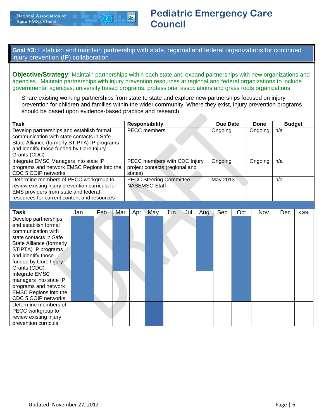**Goal #3:** Establish and maintain partnership with state, regional and federal organizations for continued injury prevention (IP) collaboration

**Objective/Strategy**: Maintain partnerships within each state and expand partnerships with new organizations and agencies. Maintain partnerships with injury prevention resources at regional and federal organizations to include governmental agencies, university based programs, professional associations and grass roots organizations.

Share existing working partnerships from state to state and explore new partnerships focused on injury prevention for children and families within the wider community. Where they exist, injury prevention programs should be based upon evidence-based practice and research.

| Task                                            | <b>Responsibility</b>          | Due Date | Done    | <b>Budget</b> |
|-------------------------------------------------|--------------------------------|----------|---------|---------------|
| Develop partnerships and establish formal       | <b>PECC</b> members            | Ongoing  | Ongoing | n/a           |
| communication with state contacts in Safe       |                                |          |         |               |
| State Alliance (formerly STIPTA) IP programs    |                                |          |         |               |
| and identify those funded by Core Injury        |                                |          |         |               |
| Grants (CDC)                                    |                                |          |         |               |
| Integrate EMSC Managers into state IP           | PECC members with CDC Injury   | Ongoing  | Ongoing | n/a           |
| programs and network EMSC Regions into the      | project contacts (regional and |          |         |               |
| CDC 5 COIP networks                             | states)                        |          |         |               |
| Determine members of PECC workgroup to          | <b>PECC Steering Committee</b> | May 2013 |         | n/a           |
| review existing injury prevention curricula for | <b>NASEMSO Staff</b>           |          |         |               |
| EMS providers from state and federal            |                                |          |         |               |
| resources for current content and resources     |                                |          |         |               |

| <b>Task</b>                  | Jan | Feb | Mar | Apr | May | Jun | Jul | Aug | Sep | Oct | Nov | Dec | done |
|------------------------------|-----|-----|-----|-----|-----|-----|-----|-----|-----|-----|-----|-----|------|
| Develop partnerships         |     |     |     |     |     |     |     |     |     |     |     |     |      |
| and establish formal         |     |     |     |     |     |     |     |     |     |     |     |     |      |
| communication with           |     |     |     |     |     |     |     |     |     |     |     |     |      |
| state contacts in Safe       |     |     |     |     |     |     |     |     |     |     |     |     |      |
| State Alliance (formerly     |     |     |     |     |     |     |     |     |     |     |     |     |      |
| STIPTA) IP programs          |     |     |     |     |     |     |     |     |     |     |     |     |      |
| and identify those           |     |     |     |     |     |     |     |     |     |     |     |     |      |
| funded by Core Injury        |     |     |     |     |     |     |     |     |     |     |     |     |      |
| Grants (CDC)                 |     |     |     |     |     |     |     |     |     |     |     |     |      |
| Integrate EMSC               |     |     |     |     |     |     |     |     |     |     |     |     |      |
| managers into state IP       |     |     |     |     |     |     |     |     |     |     |     |     |      |
| programs and network         |     |     |     |     |     |     |     |     |     |     |     |     |      |
| <b>EMSC Regions into the</b> |     |     |     |     |     |     |     |     |     |     |     |     |      |
| CDC 5 COIP networks          |     |     |     |     |     |     |     |     |     |     |     |     |      |
| Determine members of         |     |     |     |     |     |     |     |     |     |     |     |     |      |
| PECC workgroup to            |     |     |     |     |     |     |     |     |     |     |     |     |      |
| review existing injury       |     |     |     |     |     |     |     |     |     |     |     |     |      |
| prevention curricula         |     |     |     |     |     |     |     |     |     |     |     |     |      |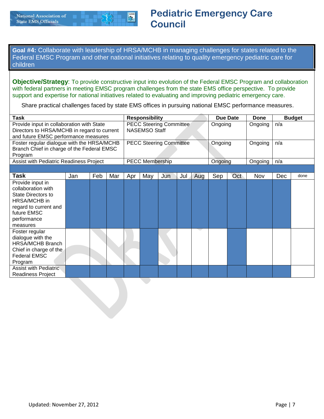

**Goal #4:** Collaborate with leadership of HRSA/MCHB in managing challenges for states related to the Federal EMSC Program and other national initiatives relating to quality emergency pediatric care for children

**Objective/Strategy**: To provide constructive input into evolution of the Federal EMSC Program and collaboration with federal partners in meeting EMSC program challenges from the state EMS office perspective. To provide support and expertise for national initiatives related to evaluating and improving pediatric emergency care.

Share practical challenges faced by state EMS offices in pursuing national EMSC performance measures.

| <b>Task</b>                                                                                                                                     |     |     |     | <b>Responsibility</b><br><b>PECC Steering Committee</b> |                        |                                |     |     |         | <b>Due Date</b> | <b>Done</b> |     | <b>Budget</b> |
|-------------------------------------------------------------------------------------------------------------------------------------------------|-----|-----|-----|---------------------------------------------------------|------------------------|--------------------------------|-----|-----|---------|-----------------|-------------|-----|---------------|
| Provide input in collaboration with State<br>Directors to HRSA/MCHB in regard to current<br>and future EMSC performance measures                |     |     |     |                                                         | <b>NASEMSO Staff</b>   |                                |     |     | Ongoing |                 | Ongoing     | n/a |               |
| Foster regular dialogue with the HRSA/MCHB<br>Branch Chief in charge of the Federal EMSC<br>Program                                             |     |     |     |                                                         |                        | <b>PECC Steering Committee</b> |     |     | Ongoing |                 | Ongoing     | n/a |               |
| Assist with Pediatric Readiness Project                                                                                                         |     |     |     |                                                         | <b>PECC Membership</b> |                                |     |     | Ongoing |                 | Ongoing     | n/a |               |
|                                                                                                                                                 |     |     |     |                                                         |                        |                                |     |     |         |                 |             |     |               |
| <b>Task</b>                                                                                                                                     | Jan | Feb | Mar | Apr                                                     | May                    | Jun                            | Jul | Aug | Sep     | Oct             | Nov         | Dec | done          |
| Provide input in<br>collaboration with<br>State Directors to<br>HRSA/MCHB in<br>regard to current and<br>future EMSC<br>performance<br>measures |     |     |     |                                                         |                        |                                |     |     |         |                 |             |     |               |
| Foster regular<br>dialogue with the<br><b>HRSA/MCHB Branch</b><br>Chief in charge of the<br><b>Federal EMSC</b><br>Program                      |     |     |     |                                                         |                        |                                |     |     |         |                 |             |     |               |
| Assist with Pediatric<br><b>Readiness Project</b>                                                                                               |     |     |     |                                                         |                        |                                |     |     |         |                 |             |     |               |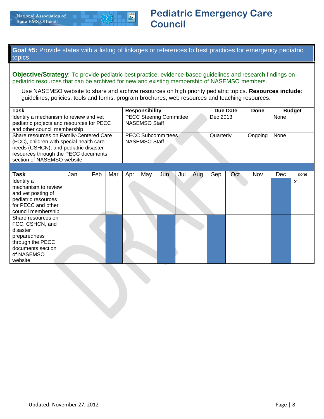

**Goal #5:** Provide states with a listing of linkages or references to best practices for emergency pediatric topics

**Objective/Strategy**: To provide pediatric best practice, evidence-based guidelines and research findings on pediatric resources that can be archived for new and existing membership of NASEMSO members.

Use NASEMSO website to share and archive resources on high priority pediatric topics. **Resources include**: guidelines, policies, tools and forms, program brochures, web resources and teaching resources.

| <b>Task</b>                                                                                                                         |                                                                                                                                                                                                                  |  | <b>Responsibility</b><br><b>PECC Steering Committee</b> |     |                      |                                                   |     |     | Due Date  | Done |         | <b>Budget</b> |                           |
|-------------------------------------------------------------------------------------------------------------------------------------|------------------------------------------------------------------------------------------------------------------------------------------------------------------------------------------------------------------|--|---------------------------------------------------------|-----|----------------------|---------------------------------------------------|-----|-----|-----------|------|---------|---------------|---------------------------|
| Identify a mechanism to review and vet<br>pediatric projects and resources for PECC<br>and other council membership                 |                                                                                                                                                                                                                  |  |                                                         |     | <b>NASEMSO Staff</b> |                                                   |     |     | Dec 2013  |      |         | None          |                           |
|                                                                                                                                     | Share resources on Family-Centered Care<br>(FCC), children with special health care<br>needs (CSHCN), and pediatric disaster<br>resources through the PECC documents<br>section of NASEMSO website<br>Feb<br>Jan |  |                                                         |     |                      | <b>PECC Subcommittees</b><br><b>NASEMSO Staff</b> |     |     | Quarterly |      | Ongoing | None          |                           |
|                                                                                                                                     |                                                                                                                                                                                                                  |  |                                                         |     |                      |                                                   |     |     |           |      |         |               |                           |
| <b>Task</b>                                                                                                                         |                                                                                                                                                                                                                  |  | Mar                                                     | Apr | May                  | Jun                                               | Jul | Aug | Sep       | Oct  | Nov     | <b>Dec</b>    | done                      |
| Identify a<br>mechanism to review<br>and vet posting of<br>pediatric resources<br>for PECC and other<br>council membership          |                                                                                                                                                                                                                  |  |                                                         |     |                      |                                                   |     |     |           |      |         |               | $\boldsymbol{\mathsf{x}}$ |
| Share resources on<br>FCC, CSHCN, and<br>disaster<br>preparedness<br>through the PECC<br>documents section<br>of NASEMSO<br>website |                                                                                                                                                                                                                  |  |                                                         |     |                      |                                                   |     |     |           |      |         |               |                           |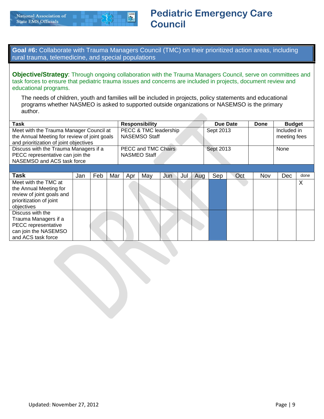**Goal #6:** Collaborate with Trauma Managers Council (TMC) on their prioritized action areas, including rural trauma, telemedicine, and special populations

**Objective/Strategy**: Through ongoing collaboration with the Trauma Managers Council, serve on committees and task forces to ensure that pediatric trauma issues and concerns are included in projects, document review and educational programs.

The needs of children, youth and families will be included in projects, policy statements and educational programs whether NASMEO is asked to supported outside organizations or NASEMSO is the primary author.

| <b>Task</b>                                                                                                                       |     |     |     | <b>Responsibility</b><br>PECC & TMC leadership |               |     |     |     | Due Date  |     | Done       | <b>Budget</b>               |      |
|-----------------------------------------------------------------------------------------------------------------------------------|-----|-----|-----|------------------------------------------------|---------------|-----|-----|-----|-----------|-----|------------|-----------------------------|------|
| Meet with the Trauma Manager Council at<br>the Annual Meeting for review of joint goals<br>and prioritization of joint objectives |     |     |     |                                                | NASEMSO Staff |     |     |     | Sept 2013 |     |            | Included in<br>meeting fees |      |
| Discuss with the Trauma Managers if a<br>PECC representative can join the<br>NASEMSO and ACS task force                           |     |     |     | <b>PECC and TMC Chairs</b><br>NASMEO Staff     |               |     |     |     | Sept 2013 |     |            | None                        |      |
|                                                                                                                                   |     |     |     |                                                |               |     |     |     |           |     |            |                             |      |
| <b>Task</b>                                                                                                                       | Jan | Feb | Mar | Apr                                            | May           | Jun | Jul | Aug | Sep       | Oct | <b>Nov</b> | <b>Dec</b>                  | done |
| Meet with the TMC at<br>the Annual Meeting for<br>review of joint goals and<br>prioritization of joint<br>objectives              |     |     |     |                                                |               |     |     |     |           |     |            |                             | X    |
| Discuss with the<br>Trauma Managers if a<br>PECC representative<br>can join the NASEMSO<br>and ACS task force                     |     |     |     |                                                |               |     |     |     |           |     |            |                             |      |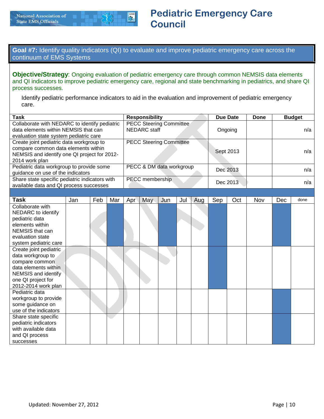**Goal #7:** Identify quality indicators (QI) to evaluate and improve pediatric emergency care across the continuum of EMS Systems

**Objective/Strategy**: Ongoing evaluation of pediatric emergency care through common NEMSIS data elements and QI indicators to improve pediatric emergency care, regional and state benchmarking in pediatrics, and share QI process successes.

Identify pediatric performance indicators to aid in the evaluation and improvement of pediatric emergency care.

| <b>Task</b>                                    | <b>Responsibility</b>          | Due Date  | Done | <b>Budget</b> |
|------------------------------------------------|--------------------------------|-----------|------|---------------|
| Collaborate with NEDARC to identify pediatric  | <b>PECC Steering Committee</b> |           |      |               |
| data elements within NEMSIS that can           | NEDARC staff                   | Ongoing   |      | n/a           |
| evaluation state system pediatric care         |                                |           |      |               |
| Create joint pediatric data workgroup to       | <b>PECC Steering Committee</b> |           |      |               |
| compare common data elements within            |                                | Sept 2013 |      | n/a           |
| NEMSIS and identify one QI project for 2012-   |                                |           |      |               |
| 2014 work plan                                 |                                |           |      |               |
| Pediatric data workgroup to provide some       | PECC & DM data workgroup       | Dec 2013  |      | n/a           |
| guidance on use of the indicators              |                                |           |      |               |
| Share state specific pediatric indicators with | PECC membership                | Dec 2013  |      | n/a           |
| available data and QI process successes        |                                |           |      |               |

| Task                   | Jan | Feb | Mar | Apr | May | Jun | Jul | Aug | Sep | Oct | Nov | Dec | done |
|------------------------|-----|-----|-----|-----|-----|-----|-----|-----|-----|-----|-----|-----|------|
| Collaborate with       |     |     |     |     |     |     |     |     |     |     |     |     |      |
| NEDARC to identify     |     |     |     |     |     |     |     |     |     |     |     |     |      |
| pediatric data         |     |     |     |     |     |     |     |     |     |     |     |     |      |
| elements within        |     |     |     |     |     |     |     |     |     |     |     |     |      |
| NEMSIS that can        |     |     |     |     |     |     |     |     |     |     |     |     |      |
| evaluation state       |     |     |     |     |     |     |     |     |     |     |     |     |      |
| system pediatric care  |     |     |     |     |     |     |     |     |     |     |     |     |      |
| Create joint pediatric |     |     |     |     |     |     |     |     |     |     |     |     |      |
| data workgroup to      |     |     |     |     |     |     |     |     |     |     |     |     |      |
| compare common         |     |     |     |     |     |     |     |     |     |     |     |     |      |
| data elements within   |     |     |     |     |     |     |     |     |     |     |     |     |      |
| NEMSIS and identify    |     |     |     |     |     |     |     |     |     |     |     |     |      |
| one QI project for     |     |     |     |     |     |     |     |     |     |     |     |     |      |
| 2012-2014 work plan    |     |     |     |     |     |     |     |     |     |     |     |     |      |
| Pediatric data         |     |     |     |     |     |     |     |     |     |     |     |     |      |
| workgroup to provide   |     |     |     |     |     |     |     |     |     |     |     |     |      |
| some guidance on       |     |     |     |     |     |     |     |     |     |     |     |     |      |
| use of the indicators  |     |     |     |     |     |     |     |     |     |     |     |     |      |
| Share state specific   |     |     |     |     |     |     |     |     |     |     |     |     |      |
| pediatric indicators   |     |     |     |     |     |     |     |     |     |     |     |     |      |
| with available data    |     |     |     |     |     |     |     |     |     |     |     |     |      |
| and QI process         |     |     |     |     |     |     |     |     |     |     |     |     |      |
| successes              |     |     |     |     |     |     |     |     |     |     |     |     |      |